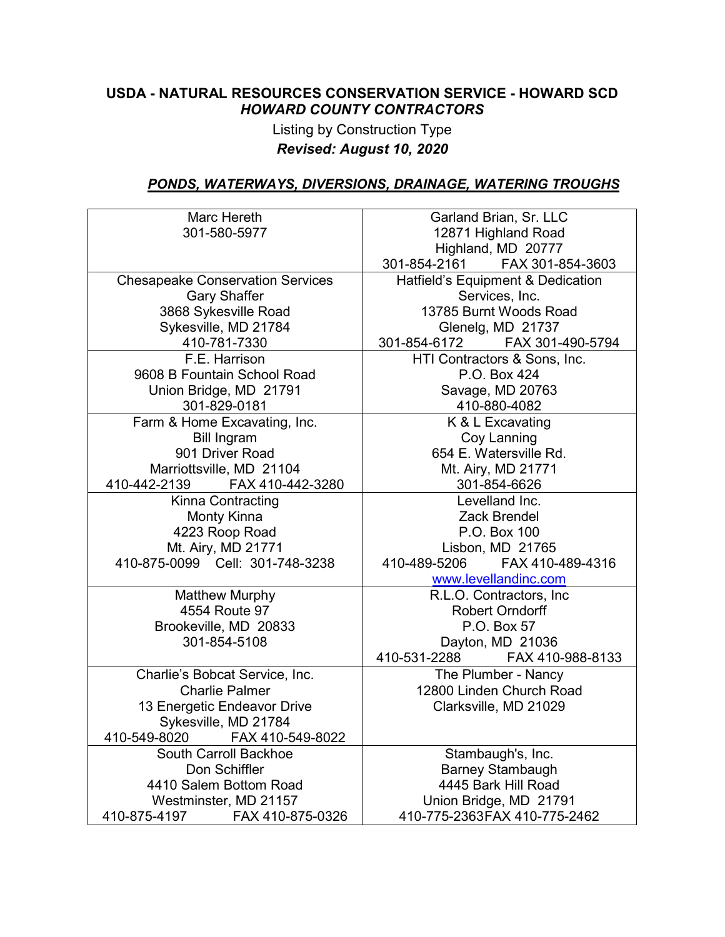#### **USDA - NATURAL RESOURCES CONSERVATION SERVICE - HOWARD SCD** *HOWARD COUNTY CONTRACTORS*

## Listing by Construction Type *Revised: August 10, 2020*

### *PONDS, WATERWAYS, DIVERSIONS, DRAINAGE, WATERING TROUGHS*

| Marc Hereth                             | Garland Brian, Sr. LLC            |
|-----------------------------------------|-----------------------------------|
| 301-580-5977                            | 12871 Highland Road               |
|                                         | Highland, MD 20777                |
|                                         | 301-854-2161 FAX 301-854-3603     |
| <b>Chesapeake Conservation Services</b> | Hatfield's Equipment & Dedication |
| <b>Gary Shaffer</b>                     | Services, Inc.                    |
| 3868 Sykesville Road                    | 13785 Burnt Woods Road            |
| Sykesville, MD 21784                    | Glenelg, MD 21737                 |
| 410-781-7330                            | 301-854-6172<br>FAX 301-490-5794  |
| F.E. Harrison                           | HTI Contractors & Sons, Inc.      |
| 9608 B Fountain School Road             | P.O. Box 424                      |
| Union Bridge, MD 21791                  | Savage, MD 20763                  |
| 301-829-0181                            | 410-880-4082                      |
| Farm & Home Excavating, Inc.            | K & L Excavating                  |
| <b>Bill Ingram</b>                      | Coy Lanning                       |
| 901 Driver Road                         | 654 E. Watersville Rd.            |
| Marriottsville, MD 21104                | Mt. Airy, MD 21771                |
| 410-442-2139 FAX 410-442-3280           | 301-854-6626                      |
| Kinna Contracting                       | Levelland Inc.                    |
| Monty Kinna                             | Zack Brendel                      |
| 4223 Roop Road                          | P.O. Box 100                      |
| Mt. Airy, MD 21771                      | Lisbon, MD 21765                  |
| 410-875-0099 Cell: 301-748-3238         | 410-489-5206<br>FAX 410-489-4316  |
|                                         | www.levellandinc.com              |
| <b>Matthew Murphy</b>                   | R.L.O. Contractors, Inc           |
| 4554 Route 97                           | <b>Robert Orndorff</b>            |
| Brookeville, MD 20833                   | P.O. Box 57                       |
| 301-854-5108                            | Dayton, MD 21036                  |
|                                         | 410-531-2288<br>FAX 410-988-8133  |
| Charlie's Bobcat Service, Inc.          | The Plumber - Nancy               |
| <b>Charlie Palmer</b>                   | 12800 Linden Church Road          |
| 13 Energetic Endeavor Drive             | Clarksville, MD 21029             |
| Sykesville, MD 21784                    |                                   |
| 410-549-8020<br>FAX 410-549-8022        |                                   |
| South Carroll Backhoe                   | Stambaugh's, Inc.                 |
| Don Schiffler                           | <b>Barney Stambaugh</b>           |
| 4410 Salem Bottom Road                  | 4445 Bark Hill Road               |
| Westminster, MD 21157                   | Union Bridge, MD 21791            |
| 410-875-4197<br>FAX 410-875-0326        | 410-775-2363FAX 410-775-2462      |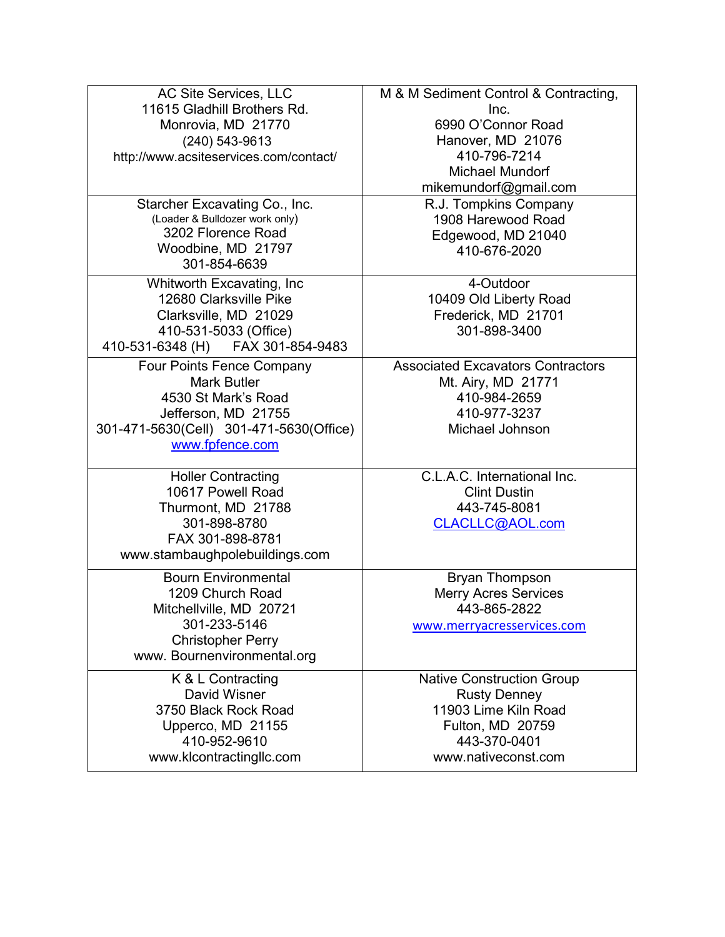| AC Site Services, LLC<br>11615 Gladhill Brothers Rd.<br>Monrovia, MD 21770<br>$(240)$ 543-9613<br>http://www.acsiteservices.com/contact/<br>Starcher Excavating Co., Inc. | M & M Sediment Control & Contracting,<br>Inc.<br>6990 O'Connor Road<br>Hanover, MD 21076<br>410-796-7214<br><b>Michael Mundorf</b><br>mikemundorf@gmail.com<br>R.J. Tompkins Company |
|---------------------------------------------------------------------------------------------------------------------------------------------------------------------------|--------------------------------------------------------------------------------------------------------------------------------------------------------------------------------------|
| (Loader & Bulldozer work only)<br>3202 Florence Road<br>Woodbine, MD 21797<br>301-854-6639                                                                                | 1908 Harewood Road<br>Edgewood, MD 21040<br>410-676-2020                                                                                                                             |
| Whitworth Excavating, Inc<br>12680 Clarksville Pike<br>Clarksville, MD 21029<br>410-531-5033 (Office)<br>FAX 301-854-9483<br>410-531-6348 (H)                             | 4-Outdoor<br>10409 Old Liberty Road<br>Frederick, MD 21701<br>301-898-3400                                                                                                           |
| Four Points Fence Company<br><b>Mark Butler</b><br>4530 St Mark's Road<br>Jefferson, MD 21755<br>301-471-5630(Cell) 301-471-5630(Office)<br>www.fpfence.com               | <b>Associated Excavators Contractors</b><br>Mt. Airy, MD 21771<br>410-984-2659<br>410-977-3237<br>Michael Johnson                                                                    |
| <b>Holler Contracting</b><br>10617 Powell Road<br>Thurmont, MD 21788<br>301-898-8780<br>FAX 301-898-8781<br>www.stambaughpolebuildings.com                                | C.L.A.C. International Inc.<br><b>Clint Dustin</b><br>443-745-8081<br>CLACLLC@AOL.com                                                                                                |
| <b>Bourn Environmental</b><br>1209 Church Road<br>Mitchellville, MD 20721<br>301-233-5146<br><b>Christopher Perry</b><br>www. Bournenvironmental.org                      | <b>Bryan Thompson</b><br><b>Merry Acres Services</b><br>443-865-2822<br>www.merryacresservices.com                                                                                   |
| K & L Contracting<br>David Wisner<br>3750 Black Rock Road<br>Upperco, MD 21155<br>410-952-9610<br>www.klcontractingllc.com                                                | <b>Native Construction Group</b><br><b>Rusty Denney</b><br>11903 Lime Kiln Road<br>Fulton, MD 20759<br>443-370-0401<br>www.nativeconst.com                                           |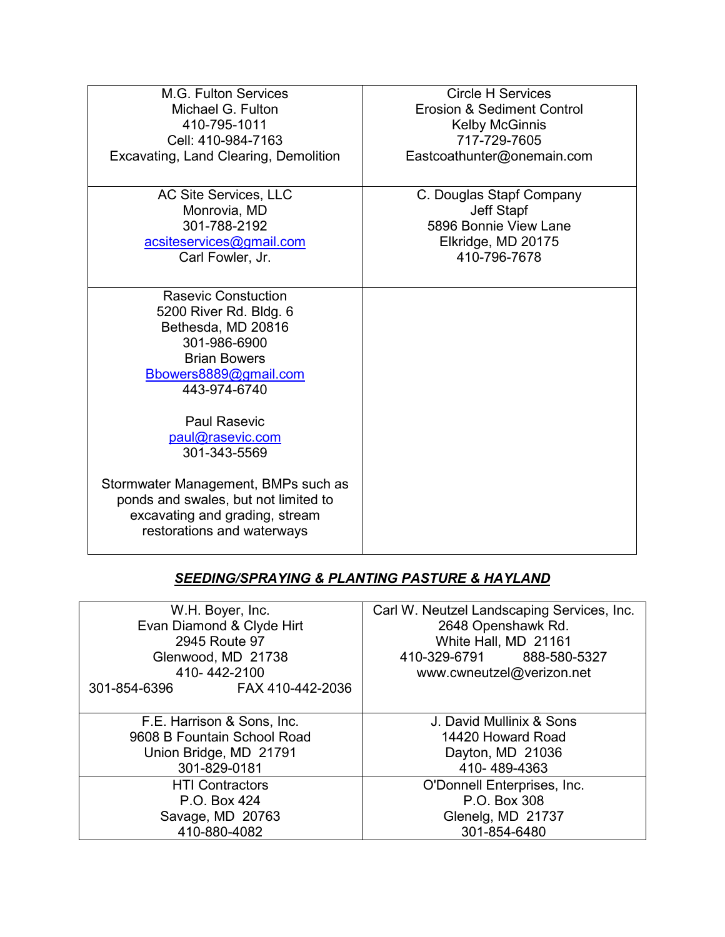| M.G. Fulton Services                  | <b>Circle H Services</b>   |
|---------------------------------------|----------------------------|
| Michael G. Fulton                     | Erosion & Sediment Control |
| 410-795-1011                          | <b>Kelby McGinnis</b>      |
| Cell: 410-984-7163                    | 717-729-7605               |
| Excavating, Land Clearing, Demolition | Eastcoathunter@onemain.com |
|                                       |                            |
| AC Site Services, LLC                 | C. Douglas Stapf Company   |
| Monrovia, MD                          | <b>Jeff Stapf</b>          |
| 301-788-2192                          | 5896 Bonnie View Lane      |
| acsiteservices@gmail.com              | Elkridge, MD 20175         |
| Carl Fowler, Jr.                      | 410-796-7678               |
|                                       |                            |
| <b>Rasevic Constuction</b>            |                            |
| 5200 River Rd. Bldg. 6                |                            |
| Bethesda, MD 20816                    |                            |
| 301-986-6900                          |                            |
| <b>Brian Bowers</b>                   |                            |
| Bbowers8889@gmail.com                 |                            |
| 443-974-6740                          |                            |
|                                       |                            |
| <b>Paul Rasevic</b>                   |                            |
| paul@rasevic.com                      |                            |
| 301-343-5569                          |                            |
|                                       |                            |
| Stormwater Management, BMPs such as   |                            |
| ponds and swales, but not limited to  |                            |
| excavating and grading, stream        |                            |
| restorations and waterways            |                            |
|                                       |                            |

# *SEEDING/SPRAYING & PLANTING PASTURE & HAYLAND*

| W.H. Boyer, Inc.<br>Evan Diamond & Clyde Hirt<br>2945 Route 97<br>Glenwood, MD 21738<br>410-442-2100 | Carl W. Neutzel Landscaping Services, Inc.<br>2648 Openshawk Rd.<br>White Hall, MD 21161<br>410-329-6791 888-580-5327<br>www.cwneutzel@verizon.net |
|------------------------------------------------------------------------------------------------------|----------------------------------------------------------------------------------------------------------------------------------------------------|
| FAX 410-442-2036<br>301-854-6396                                                                     |                                                                                                                                                    |
| F.E. Harrison & Sons, Inc.                                                                           | J. David Mullinix & Sons                                                                                                                           |
| 9608 B Fountain School Road                                                                          | 14420 Howard Road                                                                                                                                  |
| Union Bridge, MD 21791                                                                               | Dayton, MD 21036                                                                                                                                   |
| 301-829-0181                                                                                         | 410-489-4363                                                                                                                                       |
| <b>HTI Contractors</b>                                                                               | O'Donnell Enterprises, Inc.                                                                                                                        |
| P.O. Box 424                                                                                         | P.O. Box 308                                                                                                                                       |
| Savage, MD 20763                                                                                     | Glenelg, MD 21737                                                                                                                                  |
| 410-880-4082                                                                                         | 301-854-6480                                                                                                                                       |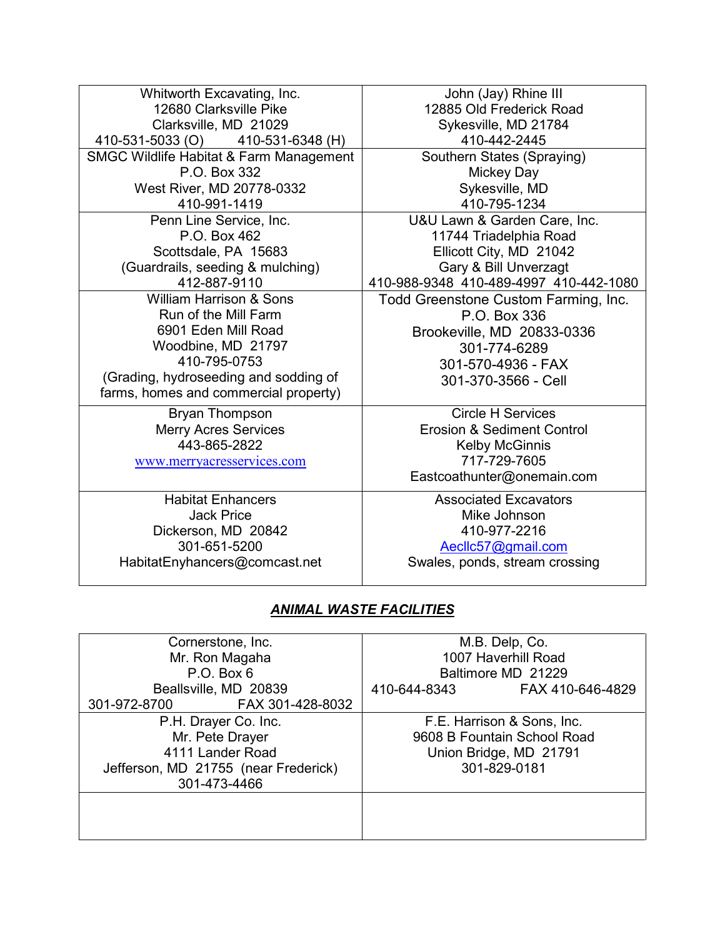| Whitworth Excavating, Inc.                         | John (Jay) Rhine III                   |
|----------------------------------------------------|----------------------------------------|
| 12680 Clarksville Pike                             | 12885 Old Frederick Road               |
| Clarksville, MD 21029                              | Sykesville, MD 21784                   |
| 410-531-5033 (O) 410-531-6348 (H)                  | 410-442-2445                           |
| <b>SMGC Wildlife Habitat &amp; Farm Management</b> | Southern States (Spraying)             |
| P.O. Box 332                                       | Mickey Day                             |
| West River, MD 20778-0332                          | Sykesville, MD                         |
| 410-991-1419                                       | 410-795-1234                           |
| Penn Line Service, Inc.                            | U&U Lawn & Garden Care, Inc.           |
| P.O. Box 462                                       | 11744 Triadelphia Road                 |
| Scottsdale, PA 15683                               | Ellicott City, MD 21042                |
| (Guardrails, seeding & mulching)                   | Gary & Bill Unverzagt                  |
| 412-887-9110                                       | 410-988-9348 410-489-4997 410-442-1080 |
| <b>William Harrison &amp; Sons</b>                 | Todd Greenstone Custom Farming, Inc.   |
| Run of the Mill Farm                               | P.O. Box 336                           |
| 6901 Eden Mill Road                                | Brookeville, MD 20833-0336             |
| Woodbine, MD 21797                                 | 301-774-6289                           |
| 410-795-0753                                       | 301-570-4936 - FAX                     |
| (Grading, hydroseeding and sodding of              | 301-370-3566 - Cell                    |
| farms, homes and commercial property)              |                                        |
| <b>Bryan Thompson</b>                              | <b>Circle H Services</b>               |
| <b>Merry Acres Services</b>                        | <b>Erosion &amp; Sediment Control</b>  |
| 443-865-2822                                       | <b>Kelby McGinnis</b>                  |
| www.merryacresservices.com                         | 717-729-7605                           |
|                                                    | Eastcoathunter@onemain.com             |
| <b>Habitat Enhancers</b>                           | <b>Associated Excavators</b>           |
| <b>Jack Price</b>                                  | Mike Johnson                           |
| Dickerson, MD 20842                                | 410-977-2216                           |
| 301-651-5200                                       | Aeclic57@gmail.com                     |

HabitatEnyhancers@comcast.net

*ANIMAL WASTE FACILITIES*

Swales, ponds, stream crossing

| Cornerstone, Inc.                    | M.B. Delp, Co.                   |
|--------------------------------------|----------------------------------|
| Mr. Ron Magaha                       | 1007 Haverhill Road              |
| $P.O.$ Box $6$                       | Baltimore MD 21229               |
| Beallsville, MD 20839                | FAX 410-646-4829<br>410-644-8343 |
| FAX 301-428-8032<br>301-972-8700     |                                  |
| P.H. Drayer Co. Inc.                 | F.E. Harrison & Sons, Inc.       |
| Mr. Pete Drayer                      | 9608 B Fountain School Road      |
| 4111 Lander Road                     | Union Bridge, MD 21791           |
| Jefferson, MD 21755 (near Frederick) | 301-829-0181                     |
| 301-473-4466                         |                                  |
|                                      |                                  |
|                                      |                                  |
|                                      |                                  |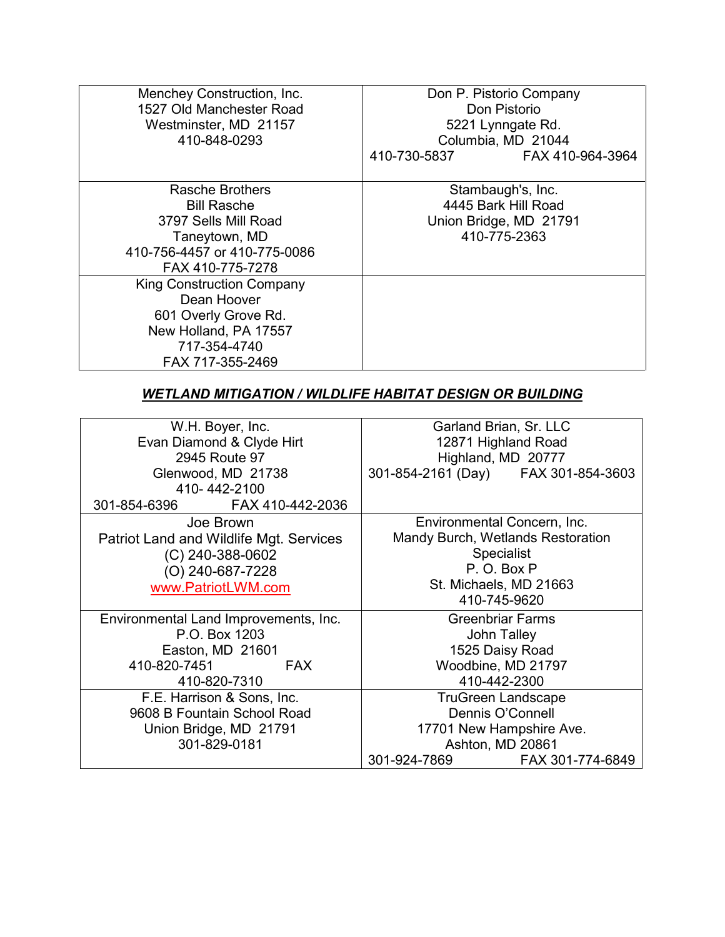| Menchey Construction, Inc.<br>1527 Old Manchester Road<br>Westminster, MD 21157<br>410-848-0293                                      | Don P. Pistorio Company<br>Don Pistorio<br>5221 Lynngate Rd.<br>Columbia, MD 21044<br>410-730-5837 FAX 410-964-3964 |
|--------------------------------------------------------------------------------------------------------------------------------------|---------------------------------------------------------------------------------------------------------------------|
| Rasche Brothers<br><b>Bill Rasche</b><br>3797 Sells Mill Road<br>Taneytown, MD<br>410-756-4457 or 410-775-0086<br>FAX 410-775-7278   | Stambaugh's, Inc.<br>4445 Bark Hill Road<br>Union Bridge, MD 21791<br>410-775-2363                                  |
| <b>King Construction Company</b><br>Dean Hoover<br>601 Overly Grove Rd.<br>New Holland, PA 17557<br>717-354-4740<br>FAX 717-355-2469 |                                                                                                                     |

#### *WETLAND MITIGATION / WILDLIFE HABITAT DESIGN OR BUILDING*

| W.H. Boyer, Inc.                               | Garland Brian, Sr. LLC              |
|------------------------------------------------|-------------------------------------|
| Evan Diamond & Clyde Hirt                      | 12871 Highland Road                 |
| 2945 Route 97                                  | Highland, MD 20777                  |
| Glenwood, MD 21738                             | 301-854-2161 (Day) FAX 301-854-3603 |
| 410-442-2100                                   |                                     |
| FAX 410-442-2036<br>301-854-6396               |                                     |
| Joe Brown                                      | Environmental Concern, Inc.         |
| <b>Patriot Land and Wildlife Mgt. Services</b> | Mandy Burch, Wetlands Restoration   |
| (C) 240-388-0602                               | <b>Specialist</b>                   |
| (O) 240-687-7228                               | P.O.BoxP                            |
| www.PatriotLWM.com                             | St. Michaels, MD 21663              |
|                                                | 410-745-9620                        |
| Environmental Land Improvements, Inc.          | <b>Greenbriar Farms</b>             |
| P.O. Box 1203                                  | John Talley                         |
| Easton, MD 21601                               | 1525 Daisy Road                     |
| 410-820-7451<br><b>FAX</b>                     | Woodbine, MD 21797                  |
| 410-820-7310                                   | 410-442-2300                        |
| F.E. Harrison & Sons, Inc.                     | <b>TruGreen Landscape</b>           |
| 9608 B Fountain School Road                    | Dennis O'Connell                    |
| Union Bridge, MD 21791                         | 17701 New Hampshire Ave.            |
| 301-829-0181                                   | Ashton, MD 20861                    |
|                                                | FAX 301-774-6849<br>301-924-7869    |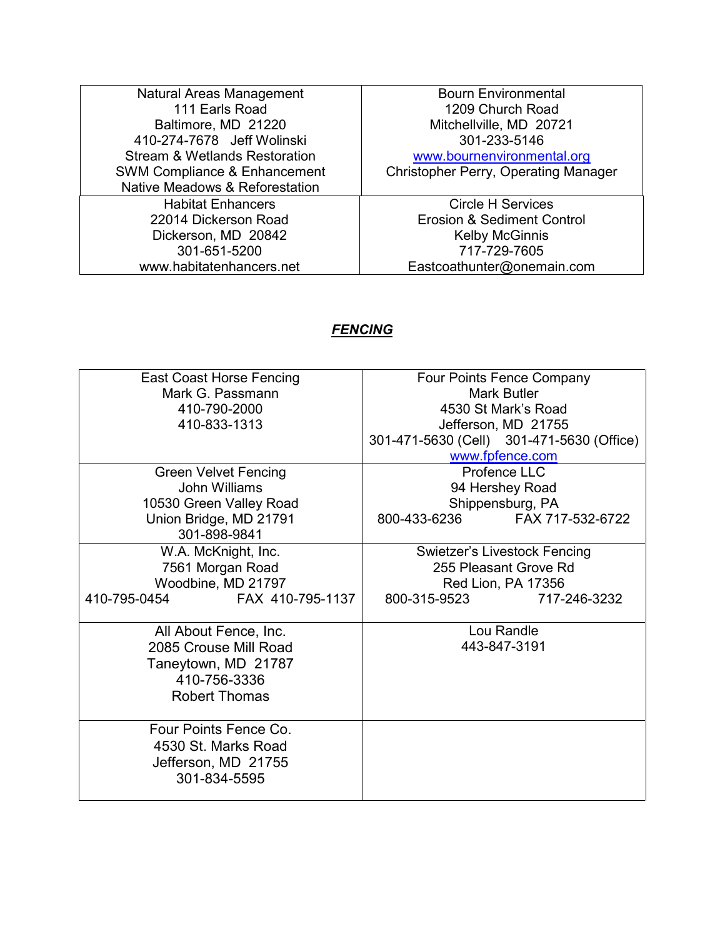| Natural Areas Management                  | <b>Bourn Environmental</b>                  |
|-------------------------------------------|---------------------------------------------|
| 111 Earls Road                            | 1209 Church Road                            |
| Baltimore, MD 21220                       | Mitchellville, MD 20721                     |
| 410-274-7678 Jeff Wolinski                | 301-233-5146                                |
| <b>Stream &amp; Wetlands Restoration</b>  | www.bournenvironmental.org                  |
| <b>SWM Compliance &amp; Enhancement</b>   | <b>Christopher Perry, Operating Manager</b> |
| <b>Native Meadows &amp; Reforestation</b> |                                             |
| <b>Habitat Enhancers</b>                  | <b>Circle H Services</b>                    |
| 22014 Dickerson Road                      | Erosion & Sediment Control                  |
| Dickerson, MD 20842                       | <b>Kelby McGinnis</b>                       |
| 301-651-5200                              | 717-729-7605                                |
| www.habitatenhancers.net                  | Eastcoathunter@onemain.com                  |

# *FENCING*

| <b>East Coast Horse Fencing</b>  | Four Points Fence Company                 |
|----------------------------------|-------------------------------------------|
| Mark G. Passmann                 | Mark Butler                               |
| 410-790-2000                     | 4530 St Mark's Road                       |
| 410-833-1313                     | Jefferson, MD 21755                       |
|                                  | 301-471-5630 (Cell) 301-471-5630 (Office) |
|                                  | www.fpfence.com                           |
| <b>Green Velvet Fencing</b>      | Profence LLC                              |
| John Williams                    | 94 Hershey Road                           |
| 10530 Green Valley Road          | Shippensburg, PA                          |
| Union Bridge, MD 21791           | 800-433-6236<br>FAX 717-532-6722          |
| 301-898-9841                     |                                           |
| W.A. McKnight, Inc.              | <b>Swietzer's Livestock Fencing</b>       |
| 7561 Morgan Road                 | 255 Pleasant Grove Rd                     |
| Woodbine, MD 21797               | Red Lion, PA 17356                        |
| 410-795-0454<br>FAX 410-795-1137 | 800-315-9523<br>717-246-3232              |
|                                  |                                           |
| All About Fence, Inc.            | Lou Randle                                |
| 2085 Crouse Mill Road            | 443-847-3191                              |
| Taneytown, MD 21787              |                                           |
| 410-756-3336                     |                                           |
| <b>Robert Thomas</b>             |                                           |
|                                  |                                           |
| Four Points Fence Co.            |                                           |
| 4530 St. Marks Road              |                                           |
| Jefferson, MD 21755              |                                           |
| 301-834-5595                     |                                           |
|                                  |                                           |
|                                  |                                           |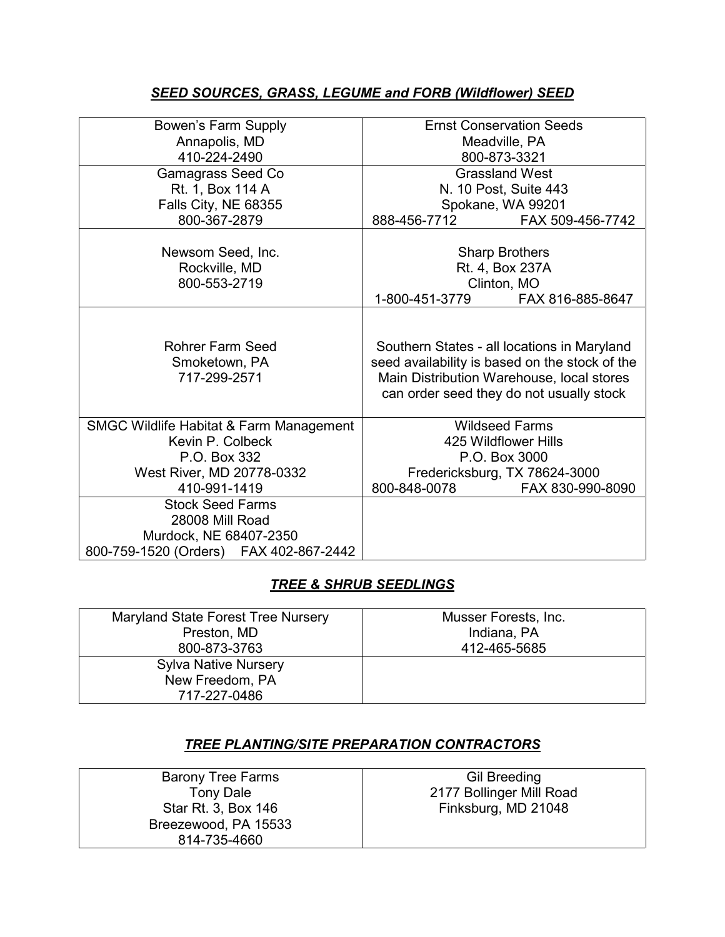## *SEED SOURCES, GRASS, LEGUME and FORB (Wildflower) SEED*

| Bowen's Farm Supply                                      | <b>Ernst Conservation Seeds</b>                                                                                                                                                        |
|----------------------------------------------------------|----------------------------------------------------------------------------------------------------------------------------------------------------------------------------------------|
| Annapolis, MD                                            | Meadville, PA                                                                                                                                                                          |
| 410-224-2490                                             | 800-873-3321                                                                                                                                                                           |
|                                                          |                                                                                                                                                                                        |
| <b>Gamagrass Seed Co</b>                                 | <b>Grassland West</b>                                                                                                                                                                  |
| Rt. 1, Box 114 A                                         | N. 10 Post, Suite 443                                                                                                                                                                  |
| Falls City, NE 68355                                     | Spokane, WA 99201                                                                                                                                                                      |
| 800-367-2879                                             | 888-456-7712<br>FAX 509-456-7742                                                                                                                                                       |
| Newsom Seed, Inc.                                        | <b>Sharp Brothers</b>                                                                                                                                                                  |
| Rockville, MD                                            | Rt. 4, Box 237A                                                                                                                                                                        |
| 800-553-2719                                             | Clinton, MO                                                                                                                                                                            |
|                                                          | 1-800-451-3779<br>FAX 816-885-8647                                                                                                                                                     |
| <b>Rohrer Farm Seed</b><br>Smoketown, PA<br>717-299-2571 | Southern States - all locations in Maryland<br>seed availability is based on the stock of the<br>Main Distribution Warehouse, local stores<br>can order seed they do not usually stock |
| <b>SMGC Wildlife Habitat &amp; Farm Management</b>       | <b>Wildseed Farms</b>                                                                                                                                                                  |
| Kevin P. Colbeck                                         | 425 Wildflower Hills                                                                                                                                                                   |
| P.O. Box 332                                             | P.O. Box 3000                                                                                                                                                                          |
| West River, MD 20778-0332                                | Fredericksburg, TX 78624-3000                                                                                                                                                          |
| 410-991-1419                                             | 800-848-0078<br>FAX 830-990-8090                                                                                                                                                       |
| <b>Stock Seed Farms</b>                                  |                                                                                                                                                                                        |
| 28008 Mill Road                                          |                                                                                                                                                                                        |
| Murdock, NE 68407-2350                                   |                                                                                                                                                                                        |
| 800-759-1520 (Orders) FAX 402-867-2442                   |                                                                                                                                                                                        |

## *TREE & SHRUB SEEDLINGS*

| Maryland State Forest Tree Nursery | Musser Forests, Inc. |
|------------------------------------|----------------------|
| Preston, MD                        | Indiana, PA          |
| 800-873-3763                       | 412-465-5685         |
| <b>Sylva Native Nursery</b>        |                      |
| New Freedom, PA                    |                      |
| 717-227-0486                       |                      |

## *TREE PLANTING/SITE PREPARATION CONTRACTORS*

| <b>Barony Tree Farms</b> | <b>Gil Breeding</b>      |
|--------------------------|--------------------------|
| <b>Tony Dale</b>         | 2177 Bollinger Mill Road |
| Star Rt. 3, Box 146      | Finksburg, MD 21048      |
| Breezewood, PA 15533     |                          |
| 814-735-4660             |                          |
|                          |                          |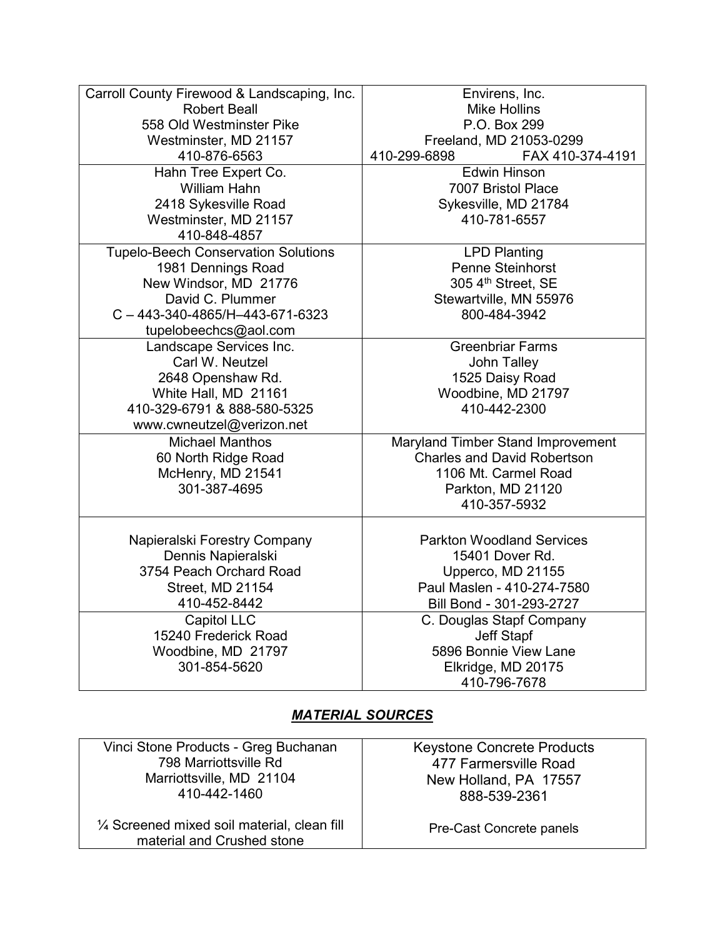| Carroll County Firewood & Landscaping, Inc. | Envirens, Inc.                     |
|---------------------------------------------|------------------------------------|
| <b>Robert Beall</b>                         | <b>Mike Hollins</b>                |
| 558 Old Westminster Pike                    | P.O. Box 299                       |
| Westminster, MD 21157                       | Freeland, MD 21053-0299            |
| 410-876-6563                                | 410-299-6898<br>FAX 410-374-4191   |
| Hahn Tree Expert Co.                        | <b>Edwin Hinson</b>                |
| <b>William Hahn</b>                         | 7007 Bristol Place                 |
| 2418 Sykesville Road                        | Sykesville, MD 21784               |
| Westminster, MD 21157                       | 410-781-6557                       |
| 410-848-4857                                |                                    |
| <b>Tupelo-Beech Conservation Solutions</b>  | <b>LPD Planting</b>                |
| 1981 Dennings Road                          | Penne Steinhorst                   |
| New Windsor, MD 21776                       | 305 4th Street, SE                 |
| David C. Plummer                            | Stewartville, MN 55976             |
| $C - 443 - 340 - 4865/H - 443 - 671 - 6323$ | 800-484-3942                       |
| tupelobeechcs@aol.com                       |                                    |
| Landscape Services Inc.                     | <b>Greenbriar Farms</b>            |
| Carl W. Neutzel                             | John Talley                        |
| 2648 Openshaw Rd.                           | 1525 Daisy Road                    |
| White Hall, MD 21161                        | Woodbine, MD 21797                 |
| 410-329-6791 & 888-580-5325                 | 410-442-2300                       |
| www.cwneutzel@verizon.net                   |                                    |
| <b>Michael Manthos</b>                      | Maryland Timber Stand Improvement  |
| 60 North Ridge Road                         | <b>Charles and David Robertson</b> |
| McHenry, MD 21541                           | 1106 Mt. Carmel Road               |
| 301-387-4695                                | Parkton, MD 21120                  |
|                                             | 410-357-5932                       |
|                                             |                                    |
| Napieralski Forestry Company                | <b>Parkton Woodland Services</b>   |
| Dennis Napieralski                          | 15401 Dover Rd.                    |
| 3754 Peach Orchard Road                     | Upperco, MD 21155                  |
| Street, MD 21154                            | Paul Maslen - 410-274-7580         |
| 410-452-8442                                | Bill Bond - 301-293-2727           |
| <b>Capitol LLC</b>                          | C. Douglas Stapf Company           |
| 15240 Frederick Road                        | <b>Jeff Stapf</b>                  |
| Woodbine, MD 21797                          | 5896 Bonnie View Lane              |
| 301-854-5620                                | Elkridge, MD 20175                 |
|                                             | 410-796-7678                       |
|                                             |                                    |

## *MATERIAL SOURCES*

Vinci Stone Products - Greg Buchanan 798 Marriottsville Rd Marriottsville, MD 21104 410-442-1460

¼ Screened mixed soil material, clean fill material and Crushed stone

Keystone Concrete Products 477 Farmersville Road New Holland, PA 17557 888-539-2361

Pre-Cast Concrete panels